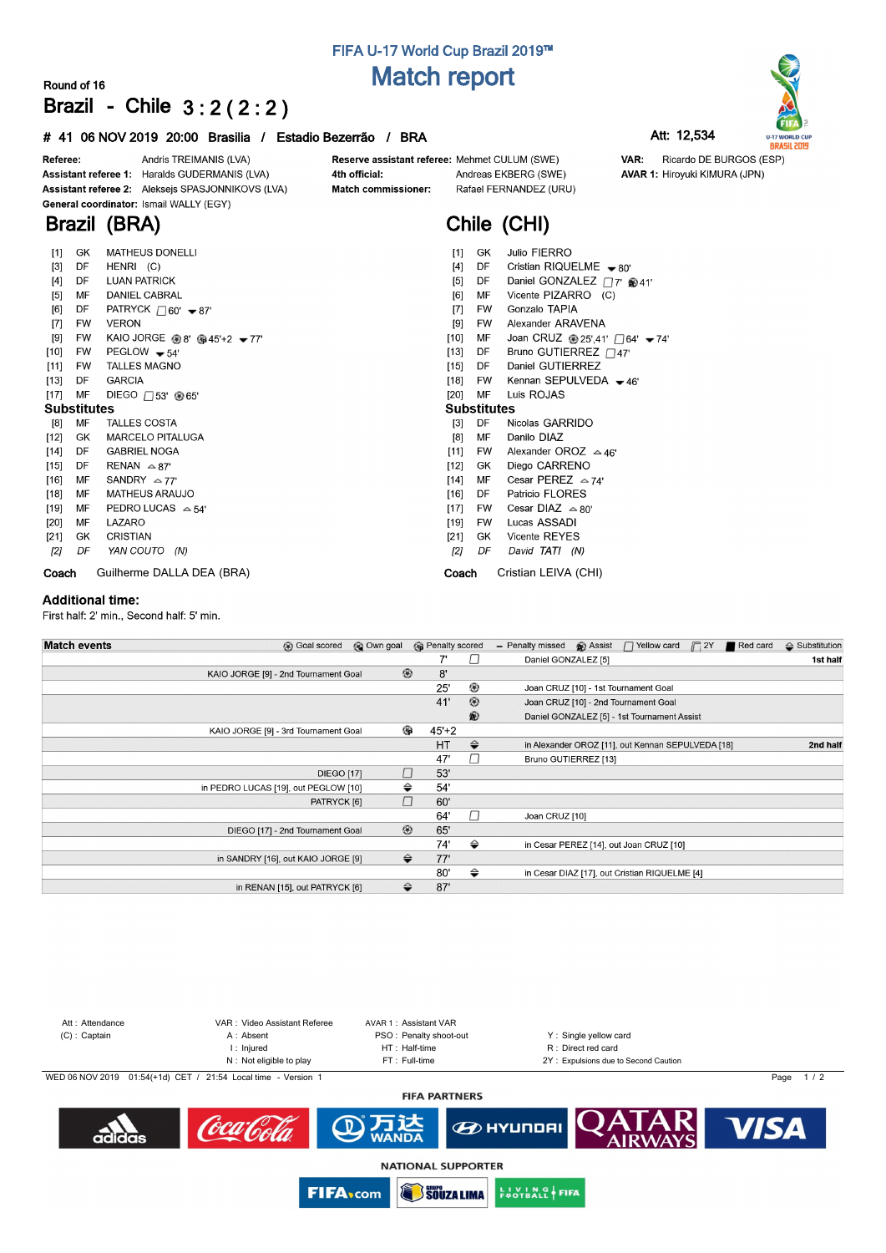# **FIFA U-17 World Cup Brazil 2019™ Match report**

### **Round of 16 Brazil - Chile 3 : 2 ( 2 : 2 )**

#### **# 41 06 NOV 2019 20:00 Brasilia / Estadio Bezerrão / BRA Att: 12,534**

**AVAR 1: Hiroyuki KIMURA (JPN)** 

VAR:



Andris TREIMANIS (LVA) Referee: Assistant referee 1: Haralds GUDERMANIS (LVA) Assistant referee 2: Aleksejs SPASJONNIKOVS (LVA) General coordinator: Ismail WALLY (EGY)

**Brazil (BRA)**

#### 4th official: Match commissioner:

Reserve assistant referee: Mehmet CULUM (SWE) Andreas EKBERG (SWE) Rafael FERNANDEZ (URU)

# **Chile (CHI)**

| $[1]$              | GK        | <b>MATHEUS DONELLI</b>                       | Julio FIERRO<br>$[1]$<br>GK                                            |
|--------------------|-----------|----------------------------------------------|------------------------------------------------------------------------|
| $[3]$              | DF        | HENRI (C)                                    | Cristian RIQUELME $-80'$<br>DF<br>[4]                                  |
| $[4]$              | DF        | <b>LUAN PATRICK</b>                          | Daniel GONZALEZ □7' ®41'<br>$[5]$<br>DF                                |
| [5]                | MF        | DANIEL CABRAL                                | Vicente PIZARRO (C)<br>[6]<br>МF                                       |
| [6]                | DF        | PATRYCK $\Box$ 60' $\blacktriangleright$ 87' | Gonzalo TAPIA<br>$[7]$<br>FW                                           |
| $[7]$              | <b>FW</b> | <b>VERON</b>                                 | Alexander ARAVENA<br>$[9]$<br><b>FW</b>                                |
| $[9]$              | FW        | KAIO JORGE $@8' @45'+2 - 77'$                | [10]<br>MF<br>Joan CRUZ @ 25',41' $\Box$ 64' $\blacktriangleright$ 74' |
| $[10]$             | FW        | PEGLOW $-54'$                                | Bruno GUTIERREZ $\Box$ 47'<br>[13]<br>DF                               |
| $[11]$             | FW        | <b>TALLES MAGNO</b>                          | Daniel GUTIERREZ<br>$[15]$<br>DF                                       |
| $[13]$             | DF        | <b>GARCIA</b>                                | Kennan SEPULVEDA $-46'$<br>[18]<br><b>FW</b>                           |
| $[17]$             | MF        | DIEGO $\Box$ 53' @65'                        | $[20]$<br>MF<br>Luis ROJAS                                             |
| <b>Substitutes</b> |           |                                              | <b>Substitutes</b>                                                     |
|                    |           |                                              |                                                                        |
| [8]                | MF        | <b>TALLES COSTA</b>                          | DF<br>Nicolas GARRIDO<br>$[3]$                                         |
| $[12]$             | GK        | <b>MARCELO PITALUGA</b>                      | Danilo DIAZ<br>[8]<br>MF                                               |
| $[14]$             | DF        | <b>GABRIEL NOGA</b>                          | Alexander OROZ $\approx$ 46'<br>[11]<br><b>FW</b>                      |
| $[15]$             | DF        | RENAN $\approx$ 87'                          | $[12]$<br>Diego CARRENO<br>GK                                          |
| [16]               | МF        | SANDRY $\approx$ 77'                         | Cesar PEREZ $\approx$ 74'<br>МF<br>$[14]$                              |
| $[18]$             | MF        | <b>MATHEUS ARAUJO</b>                        | Patricio FLORES<br>[16]<br>DF                                          |
| [19]               | МF        | PEDRO LUCAS $\approx$ 54'                    | Cesar DIAZ $\approx 80^\circ$<br>$[17]$<br><b>FW</b>                   |
| $[20]$             | MF        | LAZARO                                       | Lucas ASSADI<br>$[19]$<br>FW                                           |
| [21]               | GK.       | <b>CRISTIAN</b>                              | Vicente REYES<br>[21]<br>GK.                                           |
| [2]                | DF        | YAN COUTO (N)                                | [2]<br>David TATI (N)<br>DF                                            |
| Coach              |           | Guilherme DALLA DEA (BRA)                    | Cristian LEIVA (CHI)<br>Coach                                          |

#### **Additional time:**

First half: 2' min., Second half: 5' min.

| <b>Match events</b><br><b>B</b> Goal scored | © Own goal |                | <b>B</b> Penalty scored |                | - Penalty missed     | <b>B</b> Assist | $\Box$ Yellow card                                | $\Box$ 2Y | Red card | $\triangle$ Substitution |
|---------------------------------------------|------------|----------------|-------------------------|----------------|----------------------|-----------------|---------------------------------------------------|-----------|----------|--------------------------|
|                                             |            |                | 7'                      | $\perp$        | Daniel GONZALEZ [5]  |                 |                                                   |           |          | 1st half                 |
| KAIO JORGE [9] - 2nd Tournament Goal        |            | $\circledcirc$ | 8'                      |                |                      |                 |                                                   |           |          |                          |
|                                             |            |                | 25'                     | ⊛              |                      |                 | Joan CRUZ [10] - 1st Tournament Goal              |           |          |                          |
|                                             |            |                | 41'                     | $^{\circledR}$ |                      |                 | Joan CRUZ [10] - 2nd Tournament Goal              |           |          |                          |
|                                             |            |                |                         | ®              |                      |                 | Daniel GONZALEZ [5] - 1st Tournament Assist       |           |          |                          |
| KAIO JORGE [9] - 3rd Tournament Goal        |            | ِ ⊕            | $45+2$                  |                |                      |                 |                                                   |           |          |                          |
|                                             |            |                | <b>HT</b>               | $\Rightarrow$  |                      |                 | in Alexander OROZ [11], out Kennan SEPULVEDA [18] |           |          | 2nd half                 |
|                                             |            |                | 47'                     | П              | Bruno GUTIERREZ [13] |                 |                                                   |           |          |                          |
| <b>DIEGO [17]</b>                           |            | □              | 53'                     |                |                      |                 |                                                   |           |          |                          |
| in PEDRO LUCAS [19], out PEGLOW [10]        |            | ⇔              | 54'                     |                |                      |                 |                                                   |           |          |                          |
| PATRYCK [6]                                 |            | П              | 60'                     |                |                      |                 |                                                   |           |          |                          |
|                                             |            |                | 64'                     | $\Box$         | Joan CRUZ [10]       |                 |                                                   |           |          |                          |
| DIEGO [17] - 2nd Tournament Goal            |            | $^{\circledR}$ | 65'                     |                |                      |                 |                                                   |           |          |                          |
|                                             |            |                | 74'                     | ⇔              |                      |                 | in Cesar PEREZ [14], out Joan CRUZ [10]           |           |          |                          |
| in SANDRY [16], out KAIO JORGE [9]          |            | $\Rightarrow$  | 77'                     |                |                      |                 |                                                   |           |          |                          |
|                                             |            |                | 80'                     | ⇔              |                      |                 | in Cesar DIAZ [17], out Cristian RIQUELME [4]     |           |          |                          |
| in RENAN [15], out PATRYCK [6]              |            | ≙              | 87'                     |                |                      |                 |                                                   |           |          |                          |



**NATIONAL SUPPORTER** 

**SOUZA LIMA** 

**EUVING FIFA** 

**FIFA**<sub>com</sub>